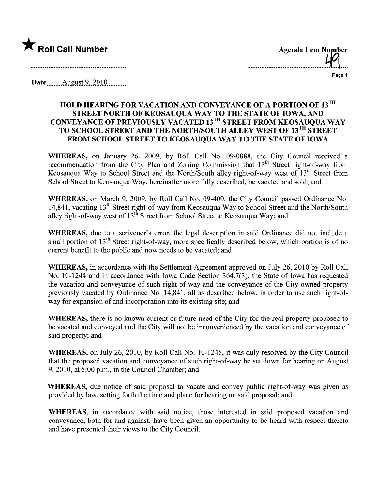

Page 1

Date  $\Delta$  ugust 9, 2010

## HOLD HEARING FOR VACATION AND CONVEYANCE OF A PORTION OF 13TH STREET NORTH OF KEOSAUQUA WAY TO THE STATE OF IOWA, AND CONVEYANCE OF PREVIOUSLY VACATED 13TH STREET FROM KEOSAUQUA WAY TO SCHOOL STREET AND THE NORTH/SOUTH ALLEY WEST OF 13<sup>TH</sup> STREET FROM SCHOOL STREET TO KEOSAUQUA WAY TO THE STATE OF IOWA

WHEREAS, on January 26, 2009, by Roll Call No. 09-0888, the City Council received a recommendation from the City Plan and Zoning Commission that  $13<sup>th</sup>$  Street right-of-way from Keosauqua Way to School Street and the North/South alley right-of-way west of 13<sup>th</sup> Street from School Street to Keosauqua Way, hereinafter more fully described, be vacated and sold; and

WHEREAS, on March 9, 2009, by Roll Call No. 09-409, the City Council passed Ordinance No. 14,841, vacating 13<sup>th</sup> Street right-of-way from Keosauqua Way to School Street and the North/South alley right-of-way west of 13<sup>th</sup> Street from School Street to Keosauqua Way; and

WHEREAS, due to a scrivener's error, the legal description in said Ordinance did not include a small portion of  $13<sup>th</sup>$  Street right-of-way, more specifically described below, which portion is of no current benefit to the public and now needs to be vacated; and

WHEREAS, in accordance with the Settlement Agreement approved on July 26,2010 by Roll Call No. 10-1244 and in accordance with Iowa Code Section 364.7(3), the State of Iowa has requested the vacation and conveyance of such right-of-way and the conveyance of the City-owned property previously vacated by Ordinance No. 14,841, all as described below, in order to use such right-ofway for expansion of and incorporation into its existing site; and

WHEREAS, there is no known current or future need of the City for the real property proposed to be vacated and conveyed and the City will not be inconvenienced by the vacation and conveyance of said property; and

WHEREAS, on July 26, 2010, by Roll Call No. 10-1245, it was duly resolved by the City Council that the proposed vacation and conveyance of such right-of-way be set down for hearing on August 9,2010, at 5:00 p.m., in the Council Chamber; and

WHEREAS, due notice of said proposal to vacate and convey public right-of-way was given as provided by law, setting forth the time and place for hearing on said proposal; and

WHEREAS, in accordance with said notice, those interested in said proposed vacation and conveyance, both for and against, have been given an opportunity to be heard with respect thereto and have presented their views to the City CounciL.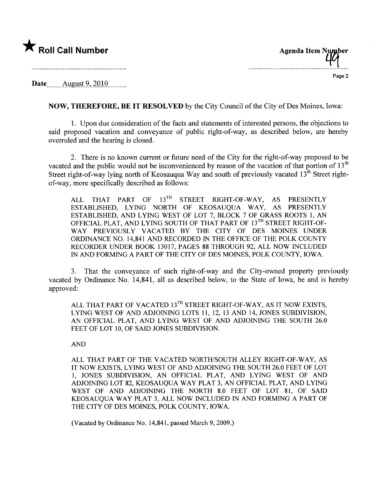

| <b>Agenda Item Number</b> |        |
|---------------------------|--------|
|                           | Page 2 |

Date \_\_\_\_\_\_ August 9, 2010

NOW, THEREFORE, BE IT RESOLVED by the City Council of the City of Des Moines, Iowa:

1. Upon due consideration of the facts and statements of interested persons, the objections to said proposed vacation and conveyance of public right-of-way, as described below, are hereby overruled and the hearing is closed.

2. There is no known curent or future need of the City for the right-of-way proposed to be vacated and the public would not be inconvenienced by reason of the vacation of that portion of 13<sup>th</sup> Street right-of-way lying north of Keosauqua Way and south of previously vacated  $13^{th}$  Street rightof-way, more specifically described as follows:

ALL THAT PART OF 13TH STREET RIGHT-OF-WAY, AS PRESENTLY ESTABLISHED, LYING NORTH OF KEOSAUQUA WAY, AS PRESENTLY ESTABLISHED, AND LYING WEST OF LOT 7, BLOCK 7 OF GRASS ROOTS 1, AN OFFICIAL PLAT, AND LYING SOUTH OF THAT PART OF 13<sup>TH</sup> STREET RIGHT-OF-WAY PREVIOUSLY VACATED BY THE CITY OF DES MOINES UNDER ORDINANCE NO. 14,841 AND RECORDED IN THE OFFICE OF THE POLK COUNTY RECORDER UNDER BOOK 13017, PAGES 88 THROUGH 92, ALL NOW INCLUDED IN AND FORMING A PART OF THE CITY OF DES MOINES, POLK COUNTY, IOWA.

3. That the conveyance of such right-of-way and the City-owned property previously vacated by Ordinance No. 14,841, all as described below, to the State of Iowa, be and is hereby approved:

ALL THAT PART OF VACATED 13TH STREET RIGHT-OF-WAY, AS IT NOW EXISTS. LYING WEST OF AND ADJOINING LOTS 11, 12, 13 AND 14, JONES SUBDIVISION, AN OFFICIAL PLAT, AND LYING WEST OF AND ADJOINING THE SOUTH 26.0 FEET OF LOT 10, OF SAID JONES SUBDIVISION.

## AND

ALL THAT PART OF THE VACATED NORTH/SOUTH ALLEY RIGHT-OF-WAY, AS IT NOW EXISTS, LYING WEST OF AND ADJOINING THE SOUTH 26.0 FEET OF LOT 1, JONES SUBDIVISION, AN OFFICIAL PLAT, AND LYING WEST OF AND ADJOINING LOT 82, KEOSAUQUA WAY PLAT 3, AN OFFICIAL PLAT, AND LYING WEST OF AND ADJOINING THE NORTH 8.0 FEET OF LOT 81, OF SAID KEOSAUQUA WAY PLAT 3, ALL NOW INCLUDED IN AND FORMING A PART OF THE CITY OF DES MOINES, POLK COUNTY, IOWA.

(Vacated by Ordinance No. 14,841, passed March 9, 2009.)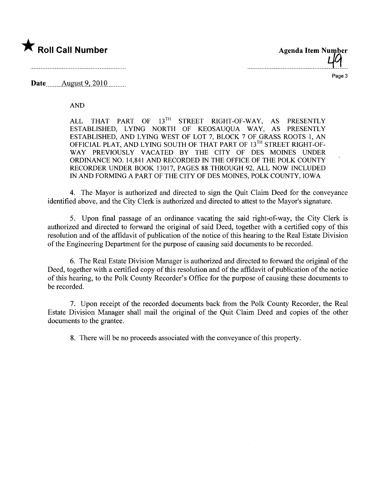

Page 3

Date **August 9, 2010** 

**AND** 

THAT PART OF 13TH STREET RIGHT-OF-WAY, **ALL**  $AS$ **PRESENTLY** ESTABLISHED, LYING NORTH OF KEOSAUOUA WAY, AS PRESENTLY ESTABLISHED, AND LYING WEST OF LOT 7, BLOCK 7 OF GRASS ROOTS 1, AN OFFICIAL PLAT, AND LYING SOUTH OF THAT PART OF 13TH STREET RIGHT-OF-WAY PREVIOUSLY VACATED BY THE CITY OF DES MOINES UNDER ORDINANCE NO. 14,841 AND RECORDED IN THE OFFICE OF THE POLK COUNTY RECORDER UNDER BOOK 13017, PAGES 88 THROUGH 92, ALL NOW INCLUDED IN AND FORMING A PART OF THE CITY OF DES MOINES, POLK COUNTY, IOWA

4. The Mayor is authorized and directed to sign the Quit Claim Deed for the conveyance identified above, and the City Clerk is authorized and directed to attest to the Mayor's signature.

5. Upon final passage of an ordinance vacating the said right-of-way, the City Clerk is authorized and directed to forward the original of said Deed, together with a certified copy of this resolution and of the affidavit of publication of the notice of this hearing to the Real Estate Division of the Engineering Department for the purpose of causing said documents to be recorded.

6. The Real Estate Division Manager is authorized and directed to forward the original of the Deed, together with a certified copy of this resolution and of the affidavit of publication of the notice of this hearing, to the Polk County Recorder's Office for the purpose of causing these documents to be recorded.

7. Upon receipt of the recorded documents back from the Polk County Recorder, the Real Estate Division Manager shall mail the original of the Quit Claim Deed and copies of the other documents to the grantee.

8. There will be no proceeds associated with the conveyance of this property.